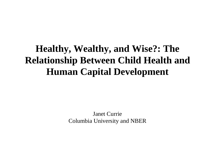## **Healthy, Wealthy, and Wise?: The Relationship Between Child Health and Human Capital Development**

Janet CurrieColumbia University and NBER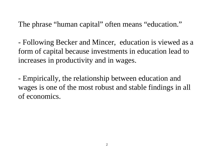The phrase "human capital" often means "education."

- Following Becker and Mincer, education is viewed as a form of capital because investments in education lead to increases in productivity and in wages.

- Empirically, the relationship between education and wages is one of the most robust and stable findings in all of economics.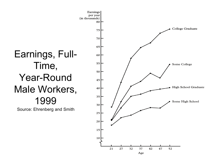## Earnings, Full-Time, Year-Round Male Workers, 1999

Source: Ehrenberg and Smith

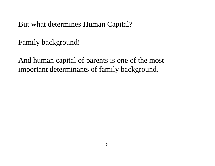But what determines Human Capital?

Family background!

And human capital of parents is one of the most important determinants of family background.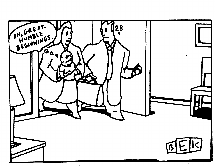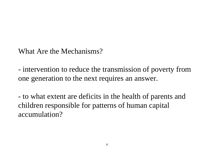What Are the Mechanisms?

- intervention to reduce the transmission of poverty from one generation to the next requires an answer.

- to what extent are deficits in the health of parents and children responsible for patterns of human capital accumulation?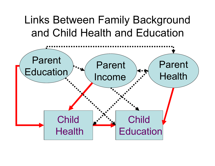# Links Between Family Background and Child Health and Education

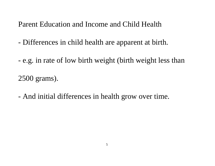Parent Education and Income and Child Health

- Differences in child health are apparent at birth.
- e.g. in rate of low birth weight (birth weight less than

2500 grams).

- And initial differences in health grow over time.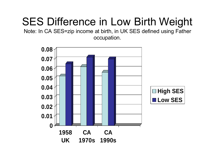# SES Difference in Low Birth Weight

Note: In CA SES=zip income at birth, in UK SES defined using Father occupation.

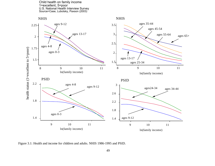#### Child health on family income 1=excellent, 5=poor U.S. National Health Interview Survey Source=Case, Lubotsky, Paxson (2003)

#### NHIS **NHIS**

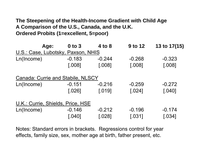### **The Steepening of the Health-Income Gradient with Child Age A Comparison of the U.S., Canada, and the U.K. Ordered Probits (1=excellent, 5=poor)**

| Age:                                     | $0$ to $3$ | 4 to 8   | 9 to 12  | 13 to 17(15) |
|------------------------------------------|------------|----------|----------|--------------|
| U.S.: Case, Lubotsky, Paxson, NHIS       |            |          |          |              |
| Ln(Income)                               | $-0.183$   | $-0.244$ | $-0.268$ | $-0.323$     |
|                                          | [.008]     | [.008]   | [.008]   | [.008]       |
| <b>Canada: Currie and Stabile, NLSCY</b> |            |          |          |              |
| Ln(hcome)                                | $-0.151$   | $-0.216$ | $-0.259$ | $-0.272$     |
|                                          | [.026]     | [.019]   | [.024]   | [.040]       |
| U.K.: Currie, Shields, Price, HSE        |            |          |          |              |
| Ln(Income)                               | $-0.146$   | $-0.212$ | $-0.196$ | $-0.174$     |
|                                          | [.040]     | [.028]   | [.031]   | [0.034]      |

Notes: Standard errors in brackets. Regressions control for year effects, family size, sex, mother age at birth, father present, etc.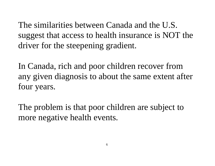The similarities between Canada and the U.S. suggest that access to health insurance is NOT the driver for the steepening gradient.

In Canada, rich and poor children recover from any given diagnosis to about the same extent after four years.

The problem is that poor children are subject to more negative health events.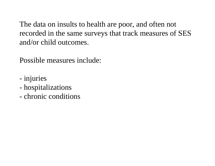The data on insults to health are poor, and often not recorded in the same surveys that track measures of SES and/or child outcomes.

Possible measures include:

- injuries
- hospitalizations
- chronic conditions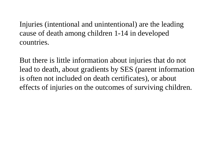Injuries (intentional and unintentional) are the leading cause of death among children 1-14 in developed countries.

But there is little information about injuries that do not lead to death, about gradients by SES (parent information is often not included on death certificates), or about effects of injuries on the outcomes of surviving children.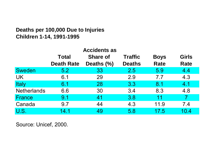### **Deaths per 100,000 Due to Injuries Children 1-14, 1991-1995**

|                    |                   | <b>Accidents as</b> |                |             |                |
|--------------------|-------------------|---------------------|----------------|-------------|----------------|
|                    | <b>Total</b>      | <b>Share of</b>     | <b>Traffic</b> | <b>Boys</b> | <b>Girls</b>   |
|                    | <b>Death Rate</b> | Deaths (%)          | <b>Deaths</b>  | <b>Rate</b> | <b>Rate</b>    |
| <b>Sweden</b>      | 5.2               | 33                  | 2.5            | 5.9         | 4.4            |
| <b>UK</b>          | 6.1               | 29                  | 2.9            | 7.7         | 4.3            |
| Italy              | 6.1               | 28                  | 3.3            | 8.1         | 4.1            |
| <b>Netherlands</b> | 6.6               | 30                  | 3.4            | 8.3         | 4.8            |
| France             | 9.1               | 41                  | 3.8            | 11          | $\overline{7}$ |
| Canada             | 9.7               | 44                  | 4.3            | 11.9        | 7.4            |
| U.S.               | 14.1              | 49                  | 5.8            | 17.5        | 10.4           |

Source: Unicef, 2000.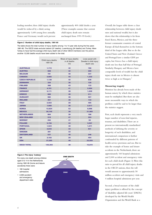For every one death among children aged 0 to 14 in the Netherlands during 1991-95 (home and leisure accidents) there were:

- 160 hospital admissions
- 2,000 accident and emergency department visits

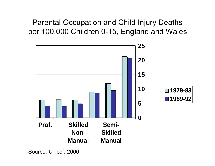Parental Occupation and Child Injury Deaths per 100,000 Children 0-15, England and Wales



Source: Unicef, 2000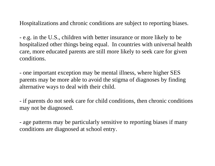Hospitalizations and chronic conditions are subject to reporting biases.

- e.g. in the U.S., children with better insurance or more likely to be hospitalized other things being equal. In countries with universal health care, more educated parents are still more likely to seek care for given conditions.

- one important exception may be mental illness, where higher SES parents may be more able to avoid the stigma of diagnoses by finding alternative ways to deal with their child.

- if parents do not seek care for child conditions, then chronic conditions may not be diagnosed.

- age patterns may be particularly sensitive to reporting biases if many conditions are diagnosed at school entry.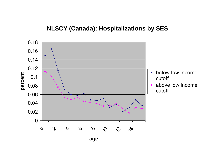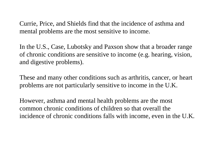Currie, Price, and Shields find that the incidence of asthma and mental problems are the most sensitive to income.

In the U.S., Case, Lubotsky and Paxson show that a broader range of chronic conditions are sensitive to income (e.g. hearing, vision, and digestive problems).

These and many other conditions such as arthritis, cancer, or heart problems are not particularly sensitive to income in the U.K.

However, asthma and mental health problems are the most common chronic conditions of children so that overall the incidence of chronic conditions falls with income, even in the U.K.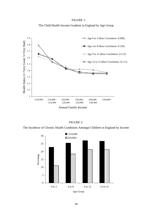The Incidence of Chronic Health Conditions Amongst Children in England by Income

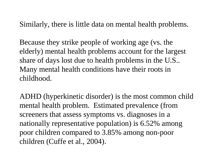Similarly, there is little data on mental health problems.

Because they strike people of working age (vs. the elderly) mental health problems account for the largest share of days lost due to health problems in the U.S.. Many mental health conditions have their roots in childhood.

ADHD (hyperkinetic disorder) is the most common child mental health problem. Estimated prevalence (from screeners that assess symptoms vs. diagnoses in a nationally representative population) is 6.52% among poor children compared to 3.85% among non-poor children (Cuffe et al., 2004).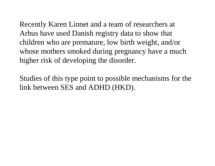Recently Karen Linnet and a team of researchers at Arhus have used Danish registry data to show that children who are premature, low birth weight, and/or whose mothers smoked during pregnancy have a much higher risk of developing the disorder.

Studies of this type point to possible mechanisms for the link between SES and ADHD (HKD).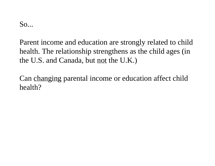So...

Parent income and education are strongly related to child health. The relationship strengthens as the child ages (in the U.S. and Canada, but not the U.K.)

Can changing parental income or education affect child health?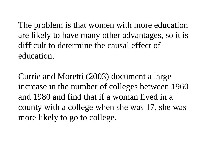The problem is that women with more education are likely to have many other advantages, so it is difficult to determine the causal effect ofeducation.

Currie and Moretti (2003) document a large increase in the number of colleges between 1960 and 1980 and find that if a woman lived in a county with a college when she was 17, she was more likely to go to college.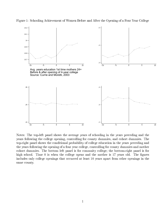

Avg. years education 1st time mothers 24+ Before & after opening of 4-year college Source: Currie and Moretti, 2003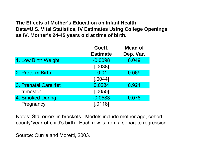#### **The Effects of Mother's Education on Infant Health Data=U.S. Vital Statistics, IV Estimates Using College Openings as IV. Mother's 24-45 years old at time of birth.**

|                      | Coeff.          | <b>Mean of</b> |
|----------------------|-----------------|----------------|
|                      | <b>Estimate</b> | Dep. Var.      |
| 1. Low Birth Weight  | $-0.0098$       | 0.049          |
|                      | [.0038]         |                |
| 2. Preterm Birth     | $-0.01$         | 0.069          |
|                      | [.0044]         |                |
| 3. Prenatal Care 1st | 0.0234          | 0.921          |
| trimester            | [.0055]         |                |
| 4. Smoked During     | $-0.0583$       | 0.078          |
| Pregnancy            | [.0118]         |                |

Notes: Std. errors in brackets. Models include mother age, cohort, county\*year-of-child's birth. Each row is from a separate regression.

Source: Currie and Moretti, 2003.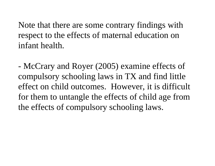Note that there are some contrary findings with respect to the effects of maternal education on infant health.

- McCrary and Royer (2005) examine effects of compulsory schooling laws in TX and find little effect on child outcomes. However, it is difficult for them to untangle the effects of child age from the effects of compulsory schooling laws.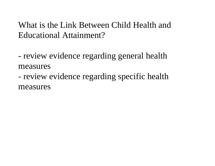What is the Link Between Child Health andEducational Attainment?

- review evidence regarding general health measures

- review evidence regarding specific health measures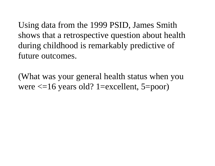Using data from the 1999 PSID, James Smith shows that a retrospective question about health during childhood is remarkably predictive of future outcomes.

(What was your general health status when you were  $\leq$ =16 years old? 1=excellent, 5=poor)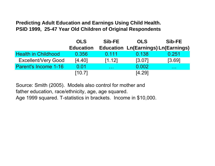**Predicting Adult Education and Earnings Using Child Health. PSID 1999, 25-47 Year Old Children of Original Respondents**

|                            | <b>OLS</b>       | Sib-FE               | <b>OLS</b>                                 | Sib-FE               |
|----------------------------|------------------|----------------------|--------------------------------------------|----------------------|
|                            | <b>Education</b> |                      | <b>Education Ln(Earnings) Ln(Earnings)</b> |                      |
| <b>Health in Childhood</b> | 0.356            | 0.111                | 0.138                                      | 0.251                |
| <b>Excellent/Very Good</b> | [4.40]           | [1.12]               | [3.07]                                     | [3.69]               |
| Parent's Income 1-16       | 0.01             | $\sim$ $\sim$ $\sim$ | 0.002                                      | $\sim 100$ m $^{-1}$ |
|                            | [10.7]           |                      | [4.29]                                     |                      |

Source: Smith (2005). Models also control for mother and father education, race/ethnicity, age, age squared. Age 1999 squared. T-statistics in brackets. Income in \$10,000.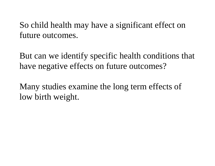So child health may have a significant effect on future outcomes.

But can we identify specific health conditions that have negative effects on future outcomes?

Many studies examine the long term effects of low birth weight.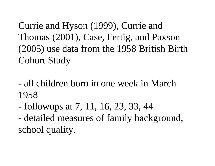Currie and Hyson (1999), Currie and Thomas (2001), Case, Fertig, and Paxson (2005) use data from the 1958 British Birth Cohort Study

- all children born in one week in March1958
- followups at 7, 11, 16, 23, 33, 44
- detailed measures of family background, school quality.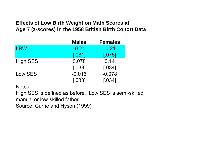### **Effects of Low Birth Weight on Math Scores at Age 7 (z-scores) in the 1958 British Birth Cohort Data**

|                 | <b>Males</b> | <b>Females</b> |
|-----------------|--------------|----------------|
| <b>LBW</b>      | $-0.21$      | $-0.21$        |
|                 | [.081]       | [.075]         |
| <b>High SES</b> | 0.078        | 0.14           |
|                 | [.033]       | [.034]         |
| Low SES         | $-0.016$     | $-0.078$       |
|                 | [.033]       | [.034]         |

Notes:

High SES is defined as before. Low SES is semi-skilled manual or low-skilled father.

Source: Currie and Hyson (1999)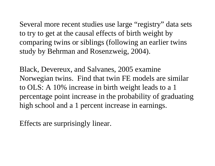Several more recent studies use large "registry" data sets to try to get at the causal effects of birth weight by comparing twins or siblings (following an earlier twins study by Behrman and Rosenzweig, 2004).

Black, Devereux, and Salvanes, 2005 examine Norwegian twins. Find that twin FE models are similar to OLS: A 10% increase in birth weight leads to a 1 percentage point increase in the probability of graduating high school and a 1 percent increase in earnings.

Effects are surprisingly linear.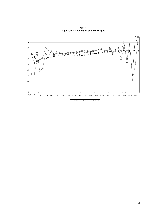**Figure 11 High School Graduation by Birth Weight**



 $-$ O $-$ non-twin  $-$ twin  $+$ twin-FE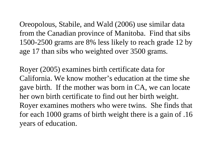Oreopolous, Stabile, and Wald (2006) use similar data from the Canadian province of Manitoba. Find that sibs 1500-2500 grams are 8% less likely to reach grade 12 by age 17 than sibs who weighted over 3500 grams.

Royer (2005) examines birth certificate data for California. We know mother's education at the time shegave birth. If the mother was born in CA, we can locate her own birth certificate to find out her birth weight. Royer examines mothers who were twins. She finds that for each 1000 grams of birth weight there is a gain of .16 years of education.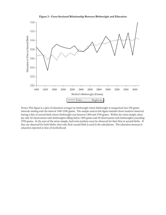

**Figure 3 - Cross-Sectional Relationship Between Birthweight and Education**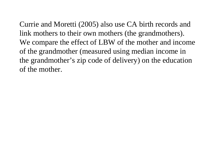Currie and Moretti (2005) also use CA birth records and link mothers to their own mothers (the grandmothers). We compare the effect of LBW of the mother and income of the grandmother (measured using median income in the grandmother's zip code of delivery) on the education of the mother.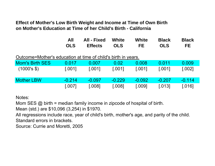**Effect of Mother's Low Birth Weight and Income at Time of Own Birth on Mother's Education at Time of her Child's Birth - California**

| All | All - Fixed White |            | White | Black      | <b>Black</b> |
|-----|-------------------|------------|-------|------------|--------------|
| OLS | <b>Effects</b>    | <b>OLS</b> | FE.   | <b>OLS</b> | FE.          |

#### Outcome=Mother's education at time of child's birth in years.

| <b>Mom's Birth SES</b> | 0.017    | 0.007    | 0.02     | 0.008    | 0.011    | 0.009    |
|------------------------|----------|----------|----------|----------|----------|----------|
| (1000's \$)            | [.001]   | [.001]   | [.001]   | [.001]   | [.001]   | [.002]   |
| <b>Mother LBW</b>      | $-0.214$ | $-0.097$ | $-0.229$ | $-0.092$ | $-0.207$ | $-0.114$ |
|                        | [.007]   | [.008]   | [.008]   | [.009]   | [.013]   | [.016]   |

Notes:

Mom SES @ birth = median family income in zipcode of hospital of birth.

Mean (std.) are \$10,096 (3,254) in \$1970.

All regressions include race, year of child's birth, mother's age, and parity of the child. Standard errors in brackets.

Source: Currie and Moretti, 2005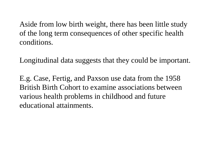Aside from low birth weight, there has been little study of the long term consequences of other specific health conditions.

Longitudinal data suggests that they could be important.

E.g. Case, Fertig, and Paxson use data from the 1958 British Birth Cohort to examine associations between various health problems in childhood and future educational attainments.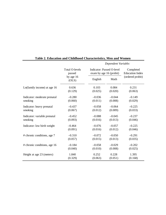|                              | <b>Total O-levels</b> | Indicator: Passed O-level | Completed              |                  |
|------------------------------|-----------------------|---------------------------|------------------------|------------------|
|                              | passed                | exam by age 16 (probit)   | <b>Education Index</b> |                  |
|                              | by age 16<br>(OLS)    | English                   | Math                   | (ordered probit) |
| Ln(family income) at age 16  | 0.636                 | 0.103                     | 0.084                  | 0.231            |
|                              | (0.129)               | (0.025)                   | (0.020)                | (0.063)          |
| Indicator: moderate prenatal | $-0.280$              | $-0.036$                  | $-0.044$               | $-0.149$         |
| smoking                      | (0.060)               | (0.011)                   | (0.008)                | (0.029)          |
| Indicator: heavy prenatal    | $-0.437$              | $-0.058$                  | $-0.064$               | $-0.225$         |
| smoking                      | (0.067)               | (0.012)                   | (0.009)                | (0.033)          |
| Indicator: variable prenatal | $-0.452$              | $-0.088$                  | $-0.045$               | $-0.237$         |
| smoking                      | (0.093)               | (0.016)                   | (0.013)                | (0.046)          |
| Indicator: low birth weight  | $-0.464$              | $-0.076$                  | $-0.057$               | $-0.225$         |
|                              | (0.091)               | (0.016)                   | (0.012)                | (0.046)          |
| # chronic conditions, age 7  | $-0.310$              | $-0.072$                  | $-0.050$               | $-0.291$         |
|                              | (0.057)               | (0.015)                   | (0.013)                | (0.035)          |
| # chronic conditions, age 16 | $-0.184$              | $-0.058$                  | $-0.029$               | $-0.202$         |
|                              | (0.040)               | (0.010)                   | (0.008)                | (0.025)          |
| Height at age 23 (meters)    | 1.840                 | 0.252                     | 0.228                  | 1.395            |
|                              | (0.329)               | (0.063)                   | (0.051)                | (0.168)          |

#### **Table 2. Education and Childhood Characteristics, Men and Women**

 *Dependent Variable:*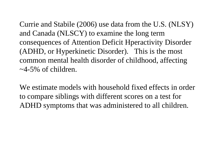Currie and Stabile (2006) use data from the U.S. (NLSY) and Canada (NLSCY) to examine the long term consequences of Attention Deficit Hperactivity Disorder (ADHD, or Hyperkinetic Disorder). This is the most common mental health disorder of childhood, affecting  $\sim$ 4-5% of children.

We estimate models with household fixed effects in order to compare siblings with different scores on a test for ADHD symptoms that was administered to all children.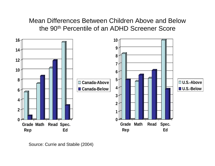Mean Differences Between Children Above and Below the 90th Percentile of an ADHD Screener Score



Source: Currie and Stabile (2004)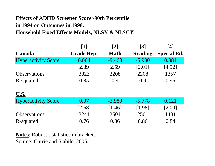### **Effects of ADHD Screener Score>90th Percentile in 1994 on Outcomes in 1998. Household Fixed Effects Models, NLSY & NLSCY**

|                            | $\lceil 1 \rceil$ | $\lceil 2 \rceil$ | $\lceil 3 \rceil$ | [4]                |
|----------------------------|-------------------|-------------------|-------------------|--------------------|
| Canada                     | <b>Grade Rep.</b> | <b>Math</b>       | <b>Reading</b>    | <b>Special Ed.</b> |
| <b>Hyperactivity Score</b> | 0.064             | $-9.468$          | $-5.930$          | 0.381              |
|                            | [2.89]            | [2.59]            | [2.01]            | [4.92]             |
| <b>Observations</b>        | 3923              | 2208              | 2208              | 1357               |
| R-squared                  | 0.85              | 0.9               | 0.9               | 0.96               |
|                            |                   |                   |                   |                    |
| <u>U.S.</u>                |                   |                   |                   |                    |
| <b>Hyperactivity Score</b> | 0.07              | $-3.989$          | $-5.778$          | 0.121              |
|                            | [2.68]            | [1.46]            | [1.98]            | $[2.00]$           |
| <b>Observations</b>        | 3241              | 2501              | 2501              | 1401               |
| R-squared                  | 0.76              | 0.86              | 0.86              | 0.84               |

**Notes**: Robust t-statistics in brackets. Source: Currie and Stabile, 2005.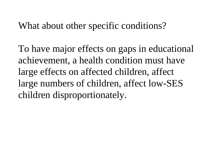## What about other specific conditions?

To have major effects on gaps in educational achievement, a health condition must have large effects on affected children, affect large numbers of children, affect low-SES children disproportionately.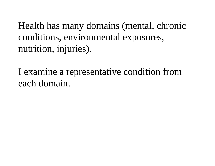Health has many domains (mental, chronic conditions, environmental exposures, nutrition, injuries).

I examine a representative condition from each domain.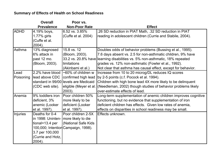|                 | <b>Overall</b>                       | Poor vs.                                  |                                                                 |
|-----------------|--------------------------------------|-------------------------------------------|-----------------------------------------------------------------|
|                 | <b>Prevalence</b>                    | <b>Non-Poor Rate</b>                      | <b>Effect</b>                                                   |
| <b>ADHD</b>     | 4.19% boys,                          | 6.52 vs. 3.85%                            | 26 SD reduction in PIAT Math, .32 SD reduction in PIAT          |
|                 | 1.77% girls                          | (Cuffe et al. 2004)                       | reading in adolescent children (Currie and Stabile, 2004).      |
|                 | (Cuffe et al.                        |                                           |                                                                 |
|                 | 2004).                               |                                           |                                                                 |
| Asthma          | 13% diagnosed                        | 15.8 vs. 12                               | Doubles odds of behavior problems (Bussing et al., 1995).       |
|                 | 6% attack in                         | (Bloom, 2003).                            | 7.6 days absent vs. 2.5 for non-asthmatic children, 9% have     |
|                 | past 12 mo.                          | 33.2 vs. 20.8% have                       | learning disabilities vs. 5% non-asthmatic, 18% repeated        |
|                 | (Bloom, 2003).                       | limitations                               | grades vs. 12% non-asthmatic (Fowler et al., 1992).             |
|                 |                                      | (Akinbami et al.)                         | Not clear that asthma has causal effect, except for behavior.   |
| Lead            |                                      | 2.2% have blood $\sim 60\%$ of children w | Increase from 10 to 20 microg/DL reduces IQ scores              |
| Poisoning       | lead above CDC                       | confirmed high lead                       | by 2-5 points (c.f. Pocock et al. 1994).                        |
|                 |                                      | standard in 99/00 levels are Medicaid     | Children with high bone lead 4X more likely to be delinquent    |
|                 | (CDC web site).                      | eligible (Meyer et al.                    | (Needleman, 2002) though studies of behavior problems likely    |
|                 |                                      | 2003).                                    | over-estimate effects of lead.                                  |
| Anemia          | 9% toddlers iron                     | Poor children 50%                         | Long-term supplementation of anemic children improves cognitive |
|                 | deficient, 3%                        | more likely to be                         | functioning, but no evidence that supplementation of iron       |
|                 | anemic (Looker                       | deficient (Looker                         | deficient children has effects. Given low rates of anemia,      |
|                 | et al. 1997).                        | et al. 1997).                             | effects on disparities in school readiness may be small.        |
| <b>Injuries</b> | Deaths for 0-4                       | Poor children 2-5X                        | Effects unknown.                                                |
|                 | in 1998: Uninten- more likely to die |                                           |                                                                 |
|                 | tional= $13.4$ per                   | (National Safe Kids                       |                                                                 |
|                 |                                      | 100,000; Intention Campaign, 1998).       |                                                                 |
|                 | 3.7 per 100,000                      |                                           |                                                                 |
|                 | (Currie and Hotz,                    |                                           |                                                                 |
|                 | 2004).                               |                                           |                                                                 |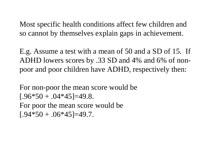Most specific health conditions affect few children and so cannot by themselves explain gaps in achievement.

E.g. Assume a test with a mean of 50 and a SD of 15. If ADHD lowers scores by .33 SD and 4% and 6% of nonpoor and poor children have ADHD, respectively then:

For non-poor the mean score would be  $[.96*50+.04*45]=49.8.$ For poor the mean score would be  $[.94*50+.06*45]=49.7.$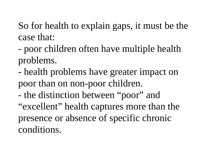So for health to explain gaps, it must be the case that:

- poor children often have multiple health problems.
- health problems have greater impact on poor than on non-poor children.
- the distinction between "poor" and "excellent" health captures more than the presence or absence of specific chronic conditions.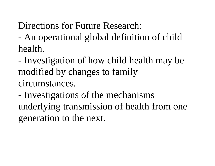Directions for Future Research:

- An operational global definition of child health.
- Investigation of how child health may be modified by changes to family circumstances.
- Investigations of the mechanisms underlying transmission of health from one generation to the next.